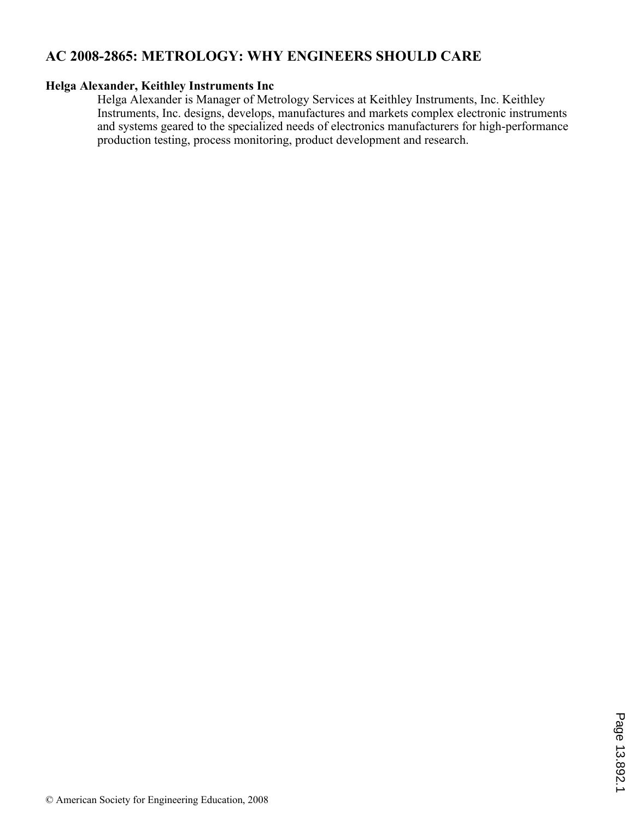# **AC 2008-2865: METROLOGY: WHY ENGINEERS SHOULD CARE**

#### **Helga Alexander, Keithley Instruments Inc**

Helga Alexander is Manager of Metrology Services at Keithley Instruments, Inc. Keithley Instruments, Inc. designs, develops, manufactures and markets complex electronic instruments and systems geared to the specialized needs of electronics manufacturers for high-performance production testing, process monitoring, product development and research.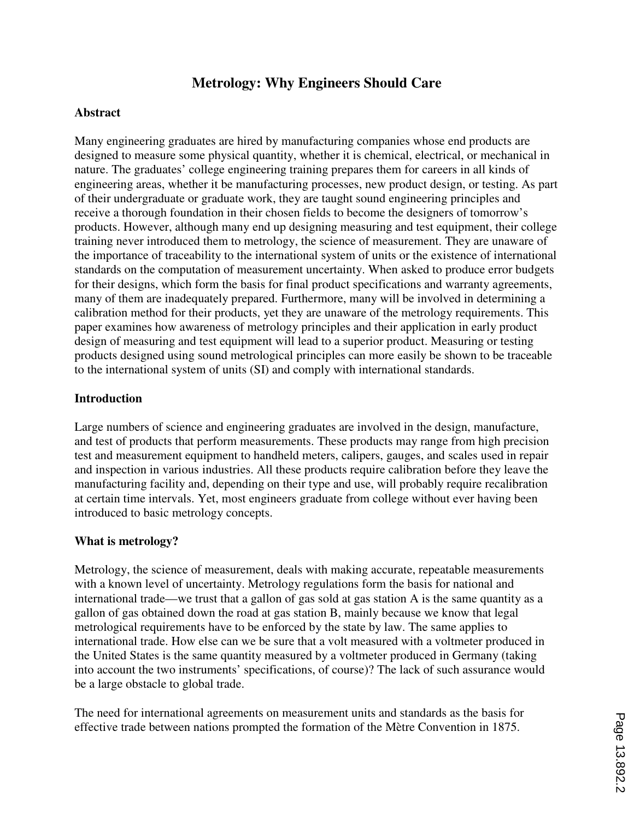# **Metrology: Why Engineers Should Care**

#### **Abstract**

Many engineering graduates are hired by manufacturing companies whose end products are designed to measure some physical quantity, whether it is chemical, electrical, or mechanical in nature. The graduates' college engineering training prepares them for careers in all kinds of engineering areas, whether it be manufacturing processes, new product design, or testing. As part of their undergraduate or graduate work, they are taught sound engineering principles and receive a thorough foundation in their chosen fields to become the designers of tomorrow's products. However, although many end up designing measuring and test equipment, their college training never introduced them to metrology, the science of measurement. They are unaware of the importance of traceability to the international system of units or the existence of international standards on the computation of measurement uncertainty. When asked to produce error budgets for their designs, which form the basis for final product specifications and warranty agreements, many of them are inadequately prepared. Furthermore, many will be involved in determining a calibration method for their products, yet they are unaware of the metrology requirements. This paper examines how awareness of metrology principles and their application in early product design of measuring and test equipment will lead to a superior product. Measuring or testing products designed using sound metrological principles can more easily be shown to be traceable to the international system of units (SI) and comply with international standards.

#### **Introduction**

Large numbers of science and engineering graduates are involved in the design, manufacture, and test of products that perform measurements. These products may range from high precision test and measurement equipment to handheld meters, calipers, gauges, and scales used in repair and inspection in various industries. All these products require calibration before they leave the manufacturing facility and, depending on their type and use, will probably require recalibration at certain time intervals. Yet, most engineers graduate from college without ever having been introduced to basic metrology concepts.

#### **What is metrology?**

Metrology, the science of measurement, deals with making accurate, repeatable measurements with a known level of uncertainty. Metrology regulations form the basis for national and international trade—we trust that a gallon of gas sold at gas station A is the same quantity as a gallon of gas obtained down the road at gas station B, mainly because we know that legal metrological requirements have to be enforced by the state by law. The same applies to international trade. How else can we be sure that a volt measured with a voltmeter produced in the United States is the same quantity measured by a voltmeter produced in Germany (taking into account the two instruments' specifications, of course)? The lack of such assurance would be a large obstacle to global trade.

The need for international agreements on measurement units and standards as the basis for effective trade between nations prompted the formation of the Mètre Convention in 1875.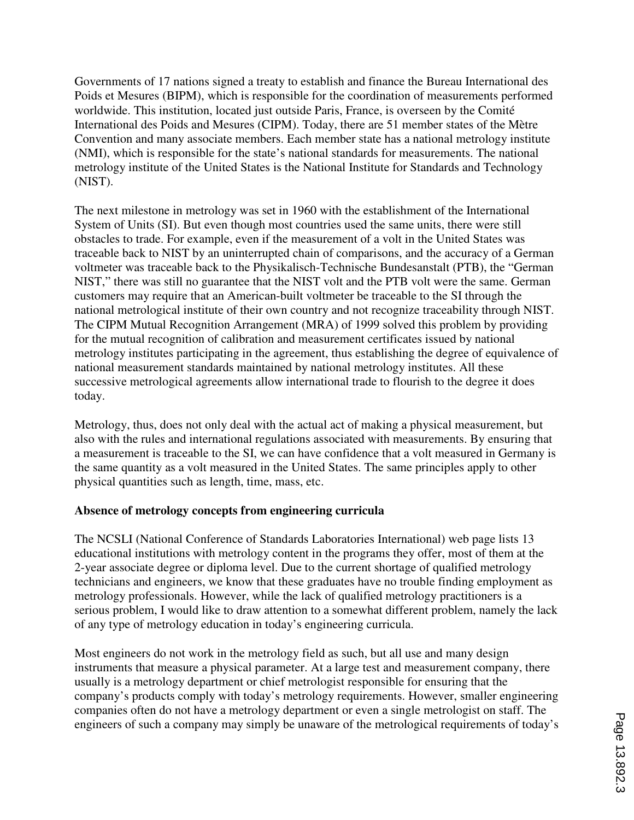Governments of 17 nations signed a treaty to establish and finance the Bureau International des Poids et Mesures (BIPM), which is responsible for the coordination of measurements performed worldwide. This institution, located just outside Paris, France, is overseen by the Comité International des Poids and Mesures (CIPM). Today, there are 51 member states of the Mètre Convention and many associate members. Each member state has a national metrology institute (NMI), which is responsible for the state's national standards for measurements. The national metrology institute of the United States is the National Institute for Standards and Technology (NIST).

The next milestone in metrology was set in 1960 with the establishment of the International System of Units (SI). But even though most countries used the same units, there were still obstacles to trade. For example, even if the measurement of a volt in the United States was traceable back to NIST by an uninterrupted chain of comparisons, and the accuracy of a German voltmeter was traceable back to the Physikalisch-Technische Bundesanstalt (PTB), the "German NIST," there was still no guarantee that the NIST volt and the PTB volt were the same. German customers may require that an American-built voltmeter be traceable to the SI through the national metrological institute of their own country and not recognize traceability through NIST. The CIPM Mutual Recognition Arrangement (MRA) of 1999 solved this problem by providing for the mutual recognition of calibration and measurement certificates issued by national metrology institutes participating in the agreement, thus establishing the degree of equivalence of national measurement standards maintained by national metrology institutes. All these successive metrological agreements allow international trade to flourish to the degree it does today.

Metrology, thus, does not only deal with the actual act of making a physical measurement, but also with the rules and international regulations associated with measurements. By ensuring that a measurement is traceable to the SI, we can have confidence that a volt measured in Germany is the same quantity as a volt measured in the United States. The same principles apply to other physical quantities such as length, time, mass, etc.

# **Absence of metrology concepts from engineering curricula**

The NCSLI (National Conference of Standards Laboratories International) web page lists 13 educational institutions with metrology content in the programs they offer, most of them at the 2-year associate degree or diploma level. Due to the current shortage of qualified metrology technicians and engineers, we know that these graduates have no trouble finding employment as metrology professionals. However, while the lack of qualified metrology practitioners is a serious problem, I would like to draw attention to a somewhat different problem, namely the lack of any type of metrology education in today's engineering curricula.

Most engineers do not work in the metrology field as such, but all use and many design instruments that measure a physical parameter. At a large test and measurement company, there usually is a metrology department or chief metrologist responsible for ensuring that the company's products comply with today's metrology requirements. However, smaller engineering companies often do not have a metrology department or even a single metrologist on staff. The engineers of such a company may simply be unaware of the metrological requirements of today's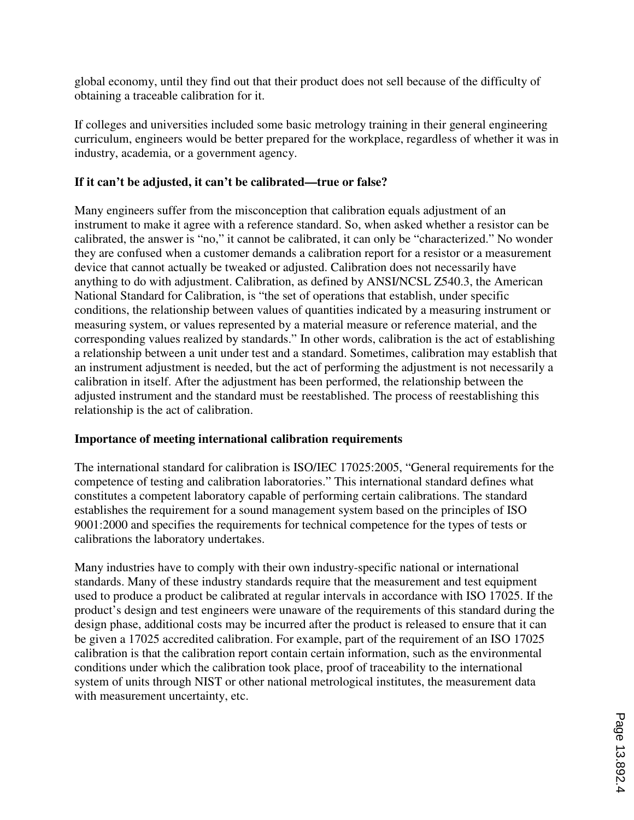global economy, until they find out that their product does not sell because of the difficulty of obtaining a traceable calibration for it.

If colleges and universities included some basic metrology training in their general engineering curriculum, engineers would be better prepared for the workplace, regardless of whether it was in industry, academia, or a government agency.

# **If it can't be adjusted, it can't be calibrated—true or false?**

Many engineers suffer from the misconception that calibration equals adjustment of an instrument to make it agree with a reference standard. So, when asked whether a resistor can be calibrated, the answer is "no," it cannot be calibrated, it can only be "characterized." No wonder they are confused when a customer demands a calibration report for a resistor or a measurement device that cannot actually be tweaked or adjusted. Calibration does not necessarily have anything to do with adjustment. Calibration, as defined by ANSI/NCSL Z540.3, the American National Standard for Calibration, is "the set of operations that establish, under specific conditions, the relationship between values of quantities indicated by a measuring instrument or measuring system, or values represented by a material measure or reference material, and the corresponding values realized by standards." In other words, calibration is the act of establishing a relationship between a unit under test and a standard. Sometimes, calibration may establish that an instrument adjustment is needed, but the act of performing the adjustment is not necessarily a calibration in itself. After the adjustment has been performed, the relationship between the adjusted instrument and the standard must be reestablished. The process of reestablishing this relationship is the act of calibration.

# **Importance of meeting international calibration requirements**

The international standard for calibration is ISO/IEC 17025:2005, "General requirements for the competence of testing and calibration laboratories." This international standard defines what constitutes a competent laboratory capable of performing certain calibrations. The standard establishes the requirement for a sound management system based on the principles of ISO 9001:2000 and specifies the requirements for technical competence for the types of tests or calibrations the laboratory undertakes.

Many industries have to comply with their own industry-specific national or international standards. Many of these industry standards require that the measurement and test equipment used to produce a product be calibrated at regular intervals in accordance with ISO 17025. If the product's design and test engineers were unaware of the requirements of this standard during the design phase, additional costs may be incurred after the product is released to ensure that it can be given a 17025 accredited calibration. For example, part of the requirement of an ISO 17025 calibration is that the calibration report contain certain information, such as the environmental conditions under which the calibration took place, proof of traceability to the international system of units through NIST or other national metrological institutes, the measurement data with measurement uncertainty, etc.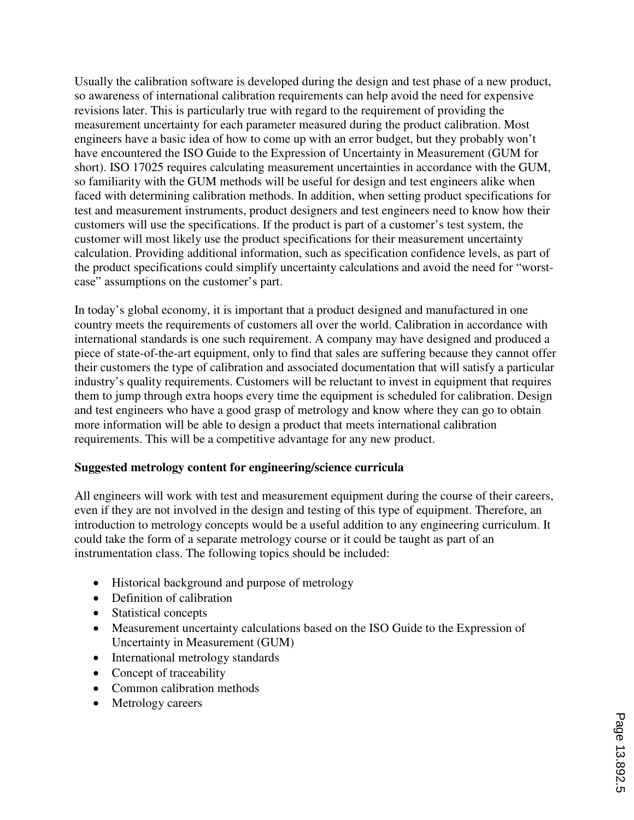Usually the calibration software is developed during the design and test phase of a new product, so awareness of international calibration requirements can help avoid the need for expensive revisions later. This is particularly true with regard to the requirement of providing the measurement uncertainty for each parameter measured during the product calibration. Most engineers have a basic idea of how to come up with an error budget, but they probably won't have encountered the ISO Guide to the Expression of Uncertainty in Measurement (GUM for short). ISO 17025 requires calculating measurement uncertainties in accordance with the GUM, so familiarity with the GUM methods will be useful for design and test engineers alike when faced with determining calibration methods. In addition, when setting product specifications for test and measurement instruments, product designers and test engineers need to know how their customers will use the specifications. If the product is part of a customer's test system, the customer will most likely use the product specifications for their measurement uncertainty calculation. Providing additional information, such as specification confidence levels, as part of the product specifications could simplify uncertainty calculations and avoid the need for "worstcase" assumptions on the customer's part.

In today's global economy, it is important that a product designed and manufactured in one country meets the requirements of customers all over the world. Calibration in accordance with international standards is one such requirement. A company may have designed and produced a piece of state-of-the-art equipment, only to find that sales are suffering because they cannot offer their customers the type of calibration and associated documentation that will satisfy a particular industry's quality requirements. Customers will be reluctant to invest in equipment that requires them to jump through extra hoops every time the equipment is scheduled for calibration. Design and test engineers who have a good grasp of metrology and know where they can go to obtain more information will be able to design a product that meets international calibration requirements. This will be a competitive advantage for any new product.

# **Suggested metrology content for engineering/science curricula**

All engineers will work with test and measurement equipment during the course of their careers, even if they are not involved in the design and testing of this type of equipment. Therefore, an introduction to metrology concepts would be a useful addition to any engineering curriculum. It could take the form of a separate metrology course or it could be taught as part of an instrumentation class. The following topics should be included:

- Historical background and purpose of metrology
- Definition of calibration
- Statistical concepts
- Measurement uncertainty calculations based on the ISO Guide to the Expression of Uncertainty in Measurement (GUM)
- International metrology standards
- Concept of traceability
- Common calibration methods
- Metrology careers